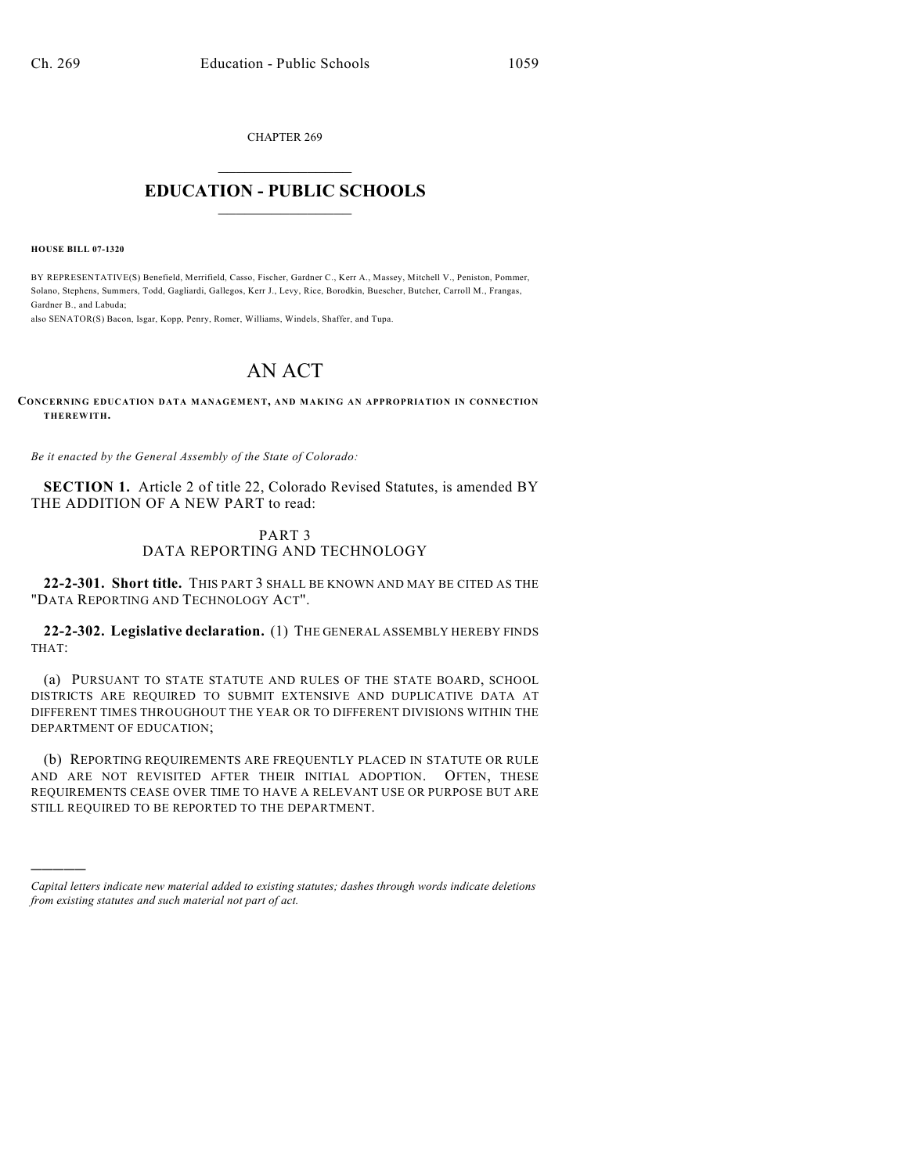CHAPTER 269

## $\mathcal{L}_\text{max}$  . The set of the set of the set of the set of the set of the set of the set of the set of the set of the set of the set of the set of the set of the set of the set of the set of the set of the set of the set **EDUCATION - PUBLIC SCHOOLS**  $\_$   $\_$   $\_$   $\_$   $\_$   $\_$   $\_$   $\_$   $\_$

**HOUSE BILL 07-1320**

)))))

BY REPRESENTATIVE(S) Benefield, Merrifield, Casso, Fischer, Gardner C., Kerr A., Massey, Mitchell V., Peniston, Pommer, Solano, Stephens, Summers, Todd, Gagliardi, Gallegos, Kerr J., Levy, Rice, Borodkin, Buescher, Butcher, Carroll M., Frangas, Gardner B., and Labuda;

also SENATOR(S) Bacon, Isgar, Kopp, Penry, Romer, Williams, Windels, Shaffer, and Tupa.

## AN ACT

## **CONCERNING EDUCATION DATA MANAGEMENT, AND MAKING AN APPROPRIATION IN CONNECTION THEREWITH.**

*Be it enacted by the General Assembly of the State of Colorado:*

**SECTION 1.** Article 2 of title 22, Colorado Revised Statutes, is amended BY THE ADDITION OF A NEW PART to read:

## PART 3 DATA REPORTING AND TECHNOLOGY

**22-2-301. Short title.** THIS PART 3 SHALL BE KNOWN AND MAY BE CITED AS THE "DATA REPORTING AND TECHNOLOGY ACT".

**22-2-302. Legislative declaration.** (1) THE GENERAL ASSEMBLY HEREBY FINDS THAT:

(a) PURSUANT TO STATE STATUTE AND RULES OF THE STATE BOARD, SCHOOL DISTRICTS ARE REQUIRED TO SUBMIT EXTENSIVE AND DUPLICATIVE DATA AT DIFFERENT TIMES THROUGHOUT THE YEAR OR TO DIFFERENT DIVISIONS WITHIN THE DEPARTMENT OF EDUCATION;

(b) REPORTING REQUIREMENTS ARE FREQUENTLY PLACED IN STATUTE OR RULE AND ARE NOT REVISITED AFTER THEIR INITIAL ADOPTION. OFTEN, THESE REQUIREMENTS CEASE OVER TIME TO HAVE A RELEVANT USE OR PURPOSE BUT ARE STILL REQUIRED TO BE REPORTED TO THE DEPARTMENT.

*Capital letters indicate new material added to existing statutes; dashes through words indicate deletions from existing statutes and such material not part of act.*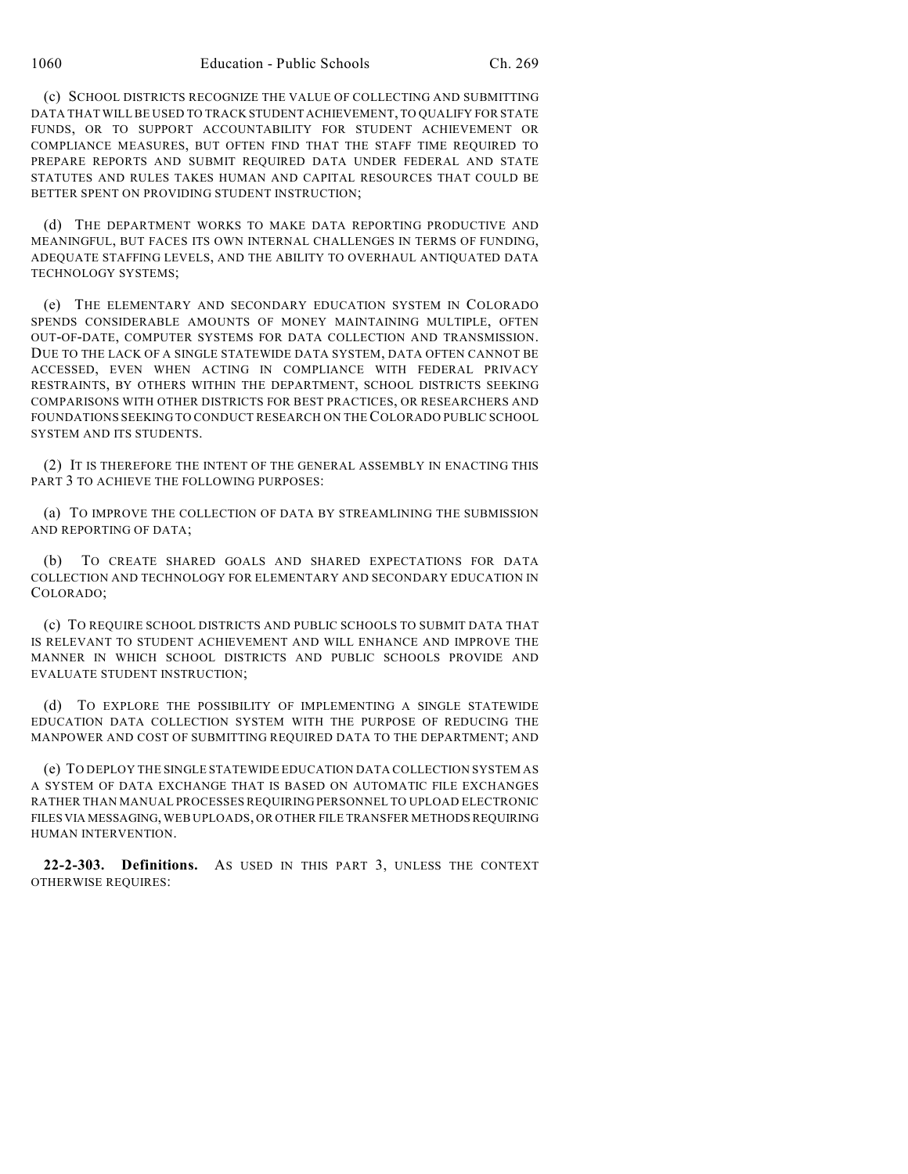(c) SCHOOL DISTRICTS RECOGNIZE THE VALUE OF COLLECTING AND SUBMITTING DATA THAT WILL BE USED TO TRACK STUDENT ACHIEVEMENT, TO QUALIFY FOR STATE FUNDS, OR TO SUPPORT ACCOUNTABILITY FOR STUDENT ACHIEVEMENT OR COMPLIANCE MEASURES, BUT OFTEN FIND THAT THE STAFF TIME REQUIRED TO PREPARE REPORTS AND SUBMIT REQUIRED DATA UNDER FEDERAL AND STATE STATUTES AND RULES TAKES HUMAN AND CAPITAL RESOURCES THAT COULD BE BETTER SPENT ON PROVIDING STUDENT INSTRUCTION;

(d) THE DEPARTMENT WORKS TO MAKE DATA REPORTING PRODUCTIVE AND MEANINGFUL, BUT FACES ITS OWN INTERNAL CHALLENGES IN TERMS OF FUNDING, ADEQUATE STAFFING LEVELS, AND THE ABILITY TO OVERHAUL ANTIQUATED DATA TECHNOLOGY SYSTEMS;

(e) THE ELEMENTARY AND SECONDARY EDUCATION SYSTEM IN COLORADO SPENDS CONSIDERABLE AMOUNTS OF MONEY MAINTAINING MULTIPLE, OFTEN OUT-OF-DATE, COMPUTER SYSTEMS FOR DATA COLLECTION AND TRANSMISSION. DUE TO THE LACK OF A SINGLE STATEWIDE DATA SYSTEM, DATA OFTEN CANNOT BE ACCESSED, EVEN WHEN ACTING IN COMPLIANCE WITH FEDERAL PRIVACY RESTRAINTS, BY OTHERS WITHIN THE DEPARTMENT, SCHOOL DISTRICTS SEEKING COMPARISONS WITH OTHER DISTRICTS FOR BEST PRACTICES, OR RESEARCHERS AND FOUNDATIONS SEEKING TO CONDUCT RESEARCH ON THE COLORADO PUBLIC SCHOOL SYSTEM AND ITS STUDENTS.

(2) IT IS THEREFORE THE INTENT OF THE GENERAL ASSEMBLY IN ENACTING THIS PART 3 TO ACHIEVE THE FOLLOWING PURPOSES:

(a) TO IMPROVE THE COLLECTION OF DATA BY STREAMLINING THE SUBMISSION AND REPORTING OF DATA;

(b) TO CREATE SHARED GOALS AND SHARED EXPECTATIONS FOR DATA COLLECTION AND TECHNOLOGY FOR ELEMENTARY AND SECONDARY EDUCATION IN COLORADO;

(c) TO REQUIRE SCHOOL DISTRICTS AND PUBLIC SCHOOLS TO SUBMIT DATA THAT IS RELEVANT TO STUDENT ACHIEVEMENT AND WILL ENHANCE AND IMPROVE THE MANNER IN WHICH SCHOOL DISTRICTS AND PUBLIC SCHOOLS PROVIDE AND EVALUATE STUDENT INSTRUCTION;

(d) TO EXPLORE THE POSSIBILITY OF IMPLEMENTING A SINGLE STATEWIDE EDUCATION DATA COLLECTION SYSTEM WITH THE PURPOSE OF REDUCING THE MANPOWER AND COST OF SUBMITTING REQUIRED DATA TO THE DEPARTMENT; AND

(e) TO DEPLOY THE SINGLE STATEWIDE EDUCATION DATA COLLECTION SYSTEM AS A SYSTEM OF DATA EXCHANGE THAT IS BASED ON AUTOMATIC FILE EXCHANGES RATHER THAN MANUAL PROCESSES REQUIRING PERSONNEL TO UPLOAD ELECTRONIC FILES VIA MESSAGING, WEB UPLOADS, OR OTHER FILE TRANSFER METHODS REQUIRING HUMAN INTERVENTION.

**22-2-303. Definitions.** AS USED IN THIS PART 3, UNLESS THE CONTEXT OTHERWISE REQUIRES: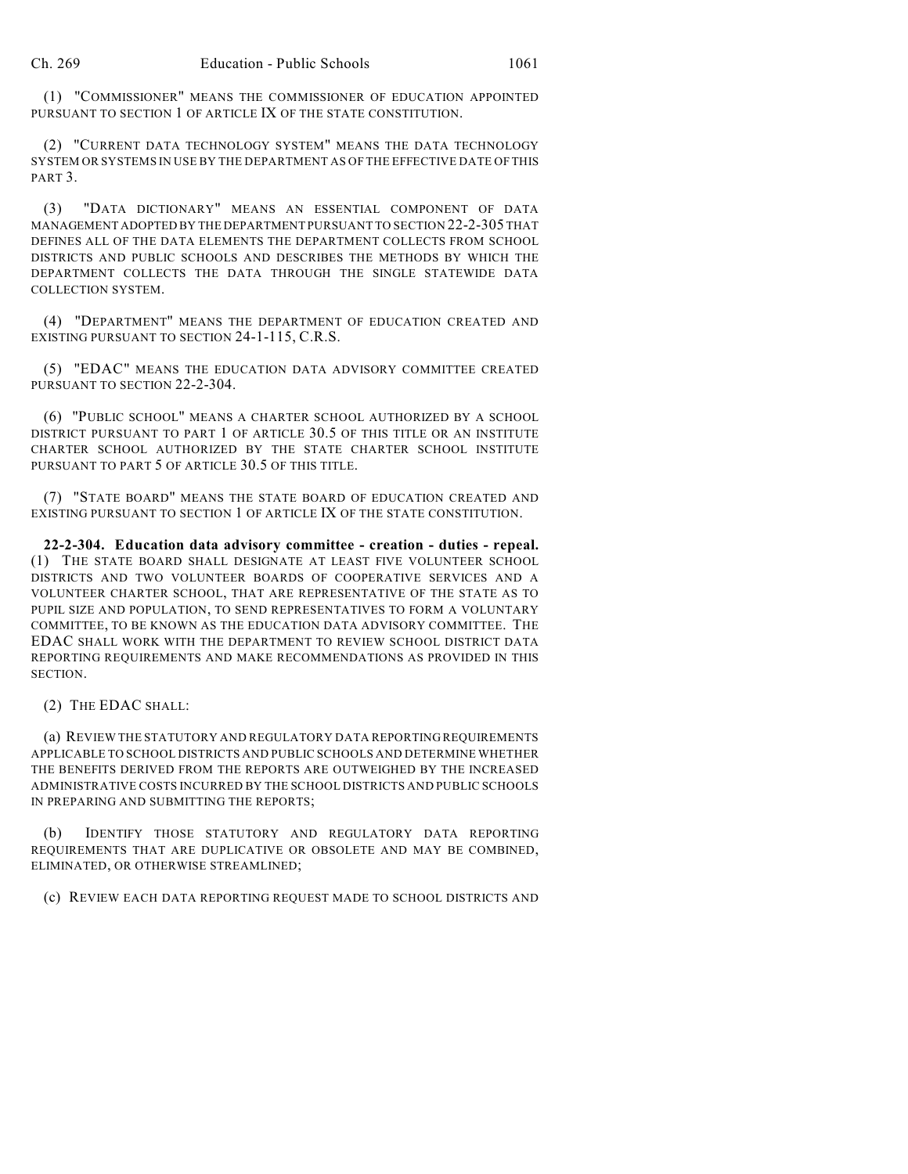(1) "COMMISSIONER" MEANS THE COMMISSIONER OF EDUCATION APPOINTED PURSUANT TO SECTION 1 OF ARTICLE IX OF THE STATE CONSTITUTION.

(2) "CURRENT DATA TECHNOLOGY SYSTEM" MEANS THE DATA TECHNOLOGY SYSTEM OR SYSTEMS IN USE BY THE DEPARTMENT AS OF THE EFFECTIVE DATE OF THIS PART<sub>3</sub>.

(3) "DATA DICTIONARY" MEANS AN ESSENTIAL COMPONENT OF DATA MANAGEMENT ADOPTED BY THE DEPARTMENT PURSUANT TO SECTION 22-2-305 THAT DEFINES ALL OF THE DATA ELEMENTS THE DEPARTMENT COLLECTS FROM SCHOOL DISTRICTS AND PUBLIC SCHOOLS AND DESCRIBES THE METHODS BY WHICH THE DEPARTMENT COLLECTS THE DATA THROUGH THE SINGLE STATEWIDE DATA COLLECTION SYSTEM.

(4) "DEPARTMENT" MEANS THE DEPARTMENT OF EDUCATION CREATED AND EXISTING PURSUANT TO SECTION 24-1-115, C.R.S.

(5) "EDAC" MEANS THE EDUCATION DATA ADVISORY COMMITTEE CREATED PURSUANT TO SECTION 22-2-304.

(6) "PUBLIC SCHOOL" MEANS A CHARTER SCHOOL AUTHORIZED BY A SCHOOL DISTRICT PURSUANT TO PART 1 OF ARTICLE 30.5 OF THIS TITLE OR AN INSTITUTE CHARTER SCHOOL AUTHORIZED BY THE STATE CHARTER SCHOOL INSTITUTE PURSUANT TO PART 5 OF ARTICLE 30.5 OF THIS TITLE.

(7) "STATE BOARD" MEANS THE STATE BOARD OF EDUCATION CREATED AND EXISTING PURSUANT TO SECTION 1 OF ARTICLE IX OF THE STATE CONSTITUTION.

**22-2-304. Education data advisory committee - creation - duties - repeal.** (1) THE STATE BOARD SHALL DESIGNATE AT LEAST FIVE VOLUNTEER SCHOOL DISTRICTS AND TWO VOLUNTEER BOARDS OF COOPERATIVE SERVICES AND A VOLUNTEER CHARTER SCHOOL, THAT ARE REPRESENTATIVE OF THE STATE AS TO PUPIL SIZE AND POPULATION, TO SEND REPRESENTATIVES TO FORM A VOLUNTARY COMMITTEE, TO BE KNOWN AS THE EDUCATION DATA ADVISORY COMMITTEE. THE EDAC SHALL WORK WITH THE DEPARTMENT TO REVIEW SCHOOL DISTRICT DATA REPORTING REQUIREMENTS AND MAKE RECOMMENDATIONS AS PROVIDED IN THIS SECTION.

(2) THE EDAC SHALL:

(a) REVIEW THE STATUTORY AND REGULATORY DATA REPORTING REQUIREMENTS APPLICABLE TO SCHOOL DISTRICTS AND PUBLIC SCHOOLS AND DETERMINE WHETHER THE BENEFITS DERIVED FROM THE REPORTS ARE OUTWEIGHED BY THE INCREASED ADMINISTRATIVE COSTS INCURRED BY THE SCHOOL DISTRICTS AND PUBLIC SCHOOLS IN PREPARING AND SUBMITTING THE REPORTS;

(b) IDENTIFY THOSE STATUTORY AND REGULATORY DATA REPORTING REQUIREMENTS THAT ARE DUPLICATIVE OR OBSOLETE AND MAY BE COMBINED, ELIMINATED, OR OTHERWISE STREAMLINED;

(c) REVIEW EACH DATA REPORTING REQUEST MADE TO SCHOOL DISTRICTS AND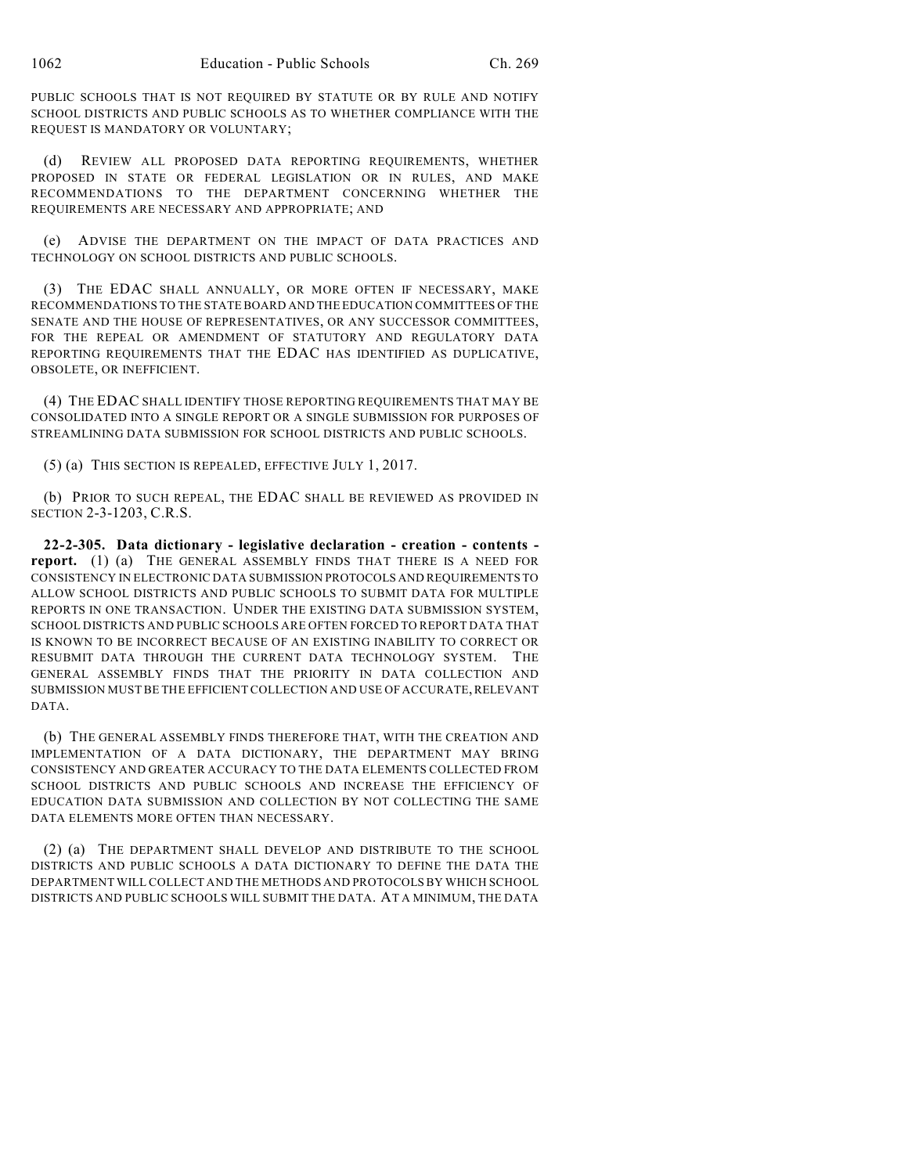PUBLIC SCHOOLS THAT IS NOT REQUIRED BY STATUTE OR BY RULE AND NOTIFY SCHOOL DISTRICTS AND PUBLIC SCHOOLS AS TO WHETHER COMPLIANCE WITH THE REQUEST IS MANDATORY OR VOLUNTARY;

(d) REVIEW ALL PROPOSED DATA REPORTING REQUIREMENTS, WHETHER PROPOSED IN STATE OR FEDERAL LEGISLATION OR IN RULES, AND MAKE RECOMMENDATIONS TO THE DEPARTMENT CONCERNING WHETHER THE REQUIREMENTS ARE NECESSARY AND APPROPRIATE; AND

(e) ADVISE THE DEPARTMENT ON THE IMPACT OF DATA PRACTICES AND TECHNOLOGY ON SCHOOL DISTRICTS AND PUBLIC SCHOOLS.

(3) THE EDAC SHALL ANNUALLY, OR MORE OFTEN IF NECESSARY, MAKE RECOMMENDATIONS TO THE STATE BOARD AND THE EDUCATION COMMITTEES OF THE SENATE AND THE HOUSE OF REPRESENTATIVES, OR ANY SUCCESSOR COMMITTEES, FOR THE REPEAL OR AMENDMENT OF STATUTORY AND REGULATORY DATA REPORTING REQUIREMENTS THAT THE EDAC HAS IDENTIFIED AS DUPLICATIVE, OBSOLETE, OR INEFFICIENT.

(4) THE EDAC SHALL IDENTIFY THOSE REPORTING REQUIREMENTS THAT MAY BE CONSOLIDATED INTO A SINGLE REPORT OR A SINGLE SUBMISSION FOR PURPOSES OF STREAMLINING DATA SUBMISSION FOR SCHOOL DISTRICTS AND PUBLIC SCHOOLS.

(5) (a) THIS SECTION IS REPEALED, EFFECTIVE JULY 1, 2017.

(b) PRIOR TO SUCH REPEAL, THE EDAC SHALL BE REVIEWED AS PROVIDED IN SECTION 2-3-1203, C.R.S.

**22-2-305. Data dictionary - legislative declaration - creation - contents report.** (1) (a) THE GENERAL ASSEMBLY FINDS THAT THERE IS A NEED FOR CONSISTENCY IN ELECTRONIC DATA SUBMISSION PROTOCOLS AND REQUIREMENTS TO ALLOW SCHOOL DISTRICTS AND PUBLIC SCHOOLS TO SUBMIT DATA FOR MULTIPLE REPORTS IN ONE TRANSACTION. UNDER THE EXISTING DATA SUBMISSION SYSTEM, SCHOOL DISTRICTS AND PUBLIC SCHOOLS ARE OFTEN FORCED TO REPORT DATA THAT IS KNOWN TO BE INCORRECT BECAUSE OF AN EXISTING INABILITY TO CORRECT OR RESUBMIT DATA THROUGH THE CURRENT DATA TECHNOLOGY SYSTEM. THE GENERAL ASSEMBLY FINDS THAT THE PRIORITY IN DATA COLLECTION AND SUBMISSION MUST BE THE EFFICIENT COLLECTION AND USE OF ACCURATE, RELEVANT DATA.

(b) THE GENERAL ASSEMBLY FINDS THEREFORE THAT, WITH THE CREATION AND IMPLEMENTATION OF A DATA DICTIONARY, THE DEPARTMENT MAY BRING CONSISTENCY AND GREATER ACCURACY TO THE DATA ELEMENTS COLLECTED FROM SCHOOL DISTRICTS AND PUBLIC SCHOOLS AND INCREASE THE EFFICIENCY OF EDUCATION DATA SUBMISSION AND COLLECTION BY NOT COLLECTING THE SAME DATA ELEMENTS MORE OFTEN THAN NECESSARY.

(2) (a) THE DEPARTMENT SHALL DEVELOP AND DISTRIBUTE TO THE SCHOOL DISTRICTS AND PUBLIC SCHOOLS A DATA DICTIONARY TO DEFINE THE DATA THE DEPARTMENT WILL COLLECT AND THE METHODS AND PROTOCOLS BY WHICH SCHOOL DISTRICTS AND PUBLIC SCHOOLS WILL SUBMIT THE DATA. AT A MINIMUM, THE DATA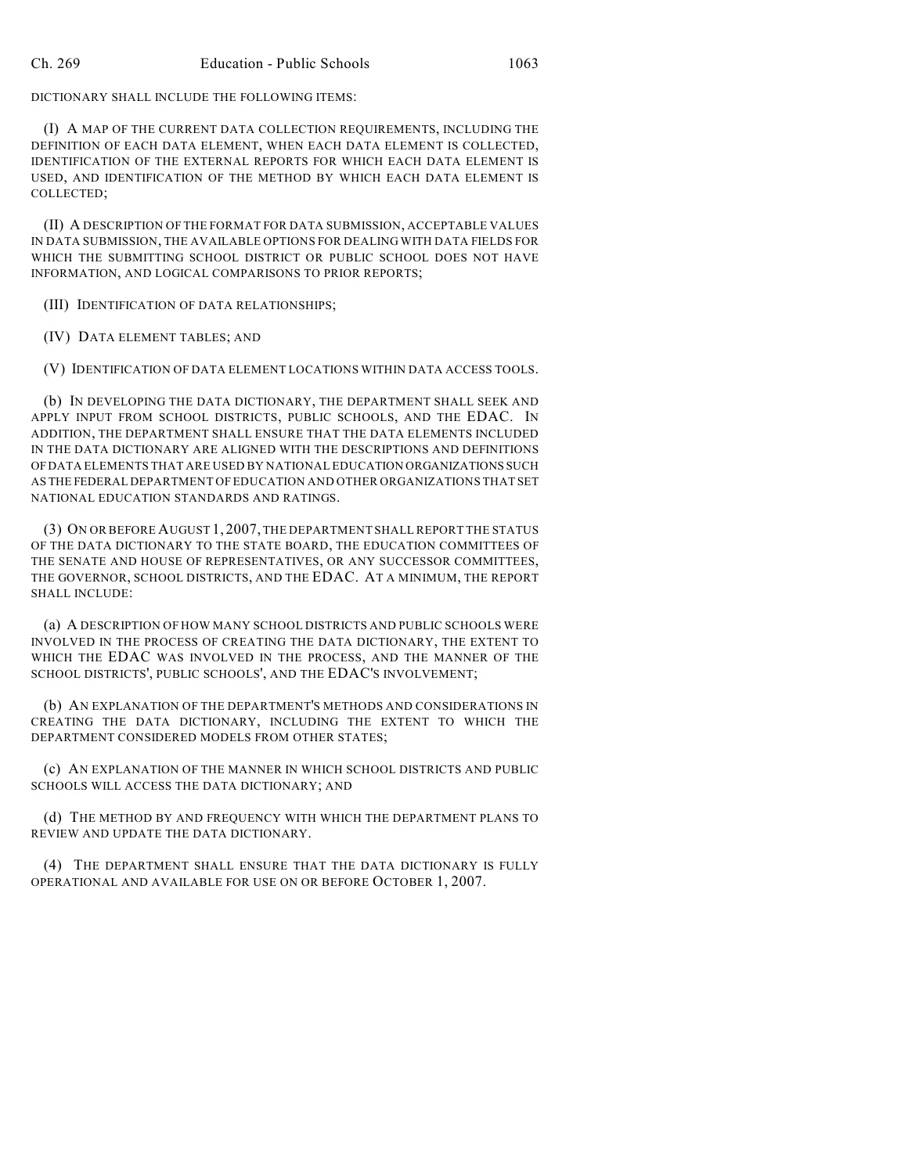DICTIONARY SHALL INCLUDE THE FOLLOWING ITEMS:

(I) A MAP OF THE CURRENT DATA COLLECTION REQUIREMENTS, INCLUDING THE DEFINITION OF EACH DATA ELEMENT, WHEN EACH DATA ELEMENT IS COLLECTED, IDENTIFICATION OF THE EXTERNAL REPORTS FOR WHICH EACH DATA ELEMENT IS USED, AND IDENTIFICATION OF THE METHOD BY WHICH EACH DATA ELEMENT IS COLLECTED;

(II) A DESCRIPTION OF THE FORMAT FOR DATA SUBMISSION, ACCEPTABLE VALUES IN DATA SUBMISSION, THE AVAILABLE OPTIONS FOR DEALING WITH DATA FIELDS FOR WHICH THE SUBMITTING SCHOOL DISTRICT OR PUBLIC SCHOOL DOES NOT HAVE INFORMATION, AND LOGICAL COMPARISONS TO PRIOR REPORTS;

(III) IDENTIFICATION OF DATA RELATIONSHIPS;

(IV) DATA ELEMENT TABLES; AND

(V) IDENTIFICATION OF DATA ELEMENT LOCATIONS WITHIN DATA ACCESS TOOLS.

(b) IN DEVELOPING THE DATA DICTIONARY, THE DEPARTMENT SHALL SEEK AND APPLY INPUT FROM SCHOOL DISTRICTS, PUBLIC SCHOOLS, AND THE EDAC. IN ADDITION, THE DEPARTMENT SHALL ENSURE THAT THE DATA ELEMENTS INCLUDED IN THE DATA DICTIONARY ARE ALIGNED WITH THE DESCRIPTIONS AND DEFINITIONS OF DATA ELEMENTS THAT ARE USED BY NATIONAL EDUCATION ORGANIZATIONS SUCH AS THE FEDERAL DEPARTMENT OF EDUCATION AND OTHER ORGANIZATIONS THAT SET NATIONAL EDUCATION STANDARDS AND RATINGS.

(3) ON OR BEFORE AUGUST 1, 2007, THE DEPARTMENT SHALL REPORT THE STATUS OF THE DATA DICTIONARY TO THE STATE BOARD, THE EDUCATION COMMITTEES OF THE SENATE AND HOUSE OF REPRESENTATIVES, OR ANY SUCCESSOR COMMITTEES, THE GOVERNOR, SCHOOL DISTRICTS, AND THE EDAC. AT A MINIMUM, THE REPORT SHALL INCLUDE:

(a) A DESCRIPTION OF HOW MANY SCHOOL DISTRICTS AND PUBLIC SCHOOLS WERE INVOLVED IN THE PROCESS OF CREATING THE DATA DICTIONARY, THE EXTENT TO WHICH THE EDAC WAS INVOLVED IN THE PROCESS, AND THE MANNER OF THE SCHOOL DISTRICTS', PUBLIC SCHOOLS', AND THE EDAC'S INVOLVEMENT;

(b) AN EXPLANATION OF THE DEPARTMENT'S METHODS AND CONSIDERATIONS IN CREATING THE DATA DICTIONARY, INCLUDING THE EXTENT TO WHICH THE DEPARTMENT CONSIDERED MODELS FROM OTHER STATES;

(c) AN EXPLANATION OF THE MANNER IN WHICH SCHOOL DISTRICTS AND PUBLIC SCHOOLS WILL ACCESS THE DATA DICTIONARY; AND

(d) THE METHOD BY AND FREQUENCY WITH WHICH THE DEPARTMENT PLANS TO REVIEW AND UPDATE THE DATA DICTIONARY.

(4) THE DEPARTMENT SHALL ENSURE THAT THE DATA DICTIONARY IS FULLY OPERATIONAL AND AVAILABLE FOR USE ON OR BEFORE OCTOBER 1, 2007.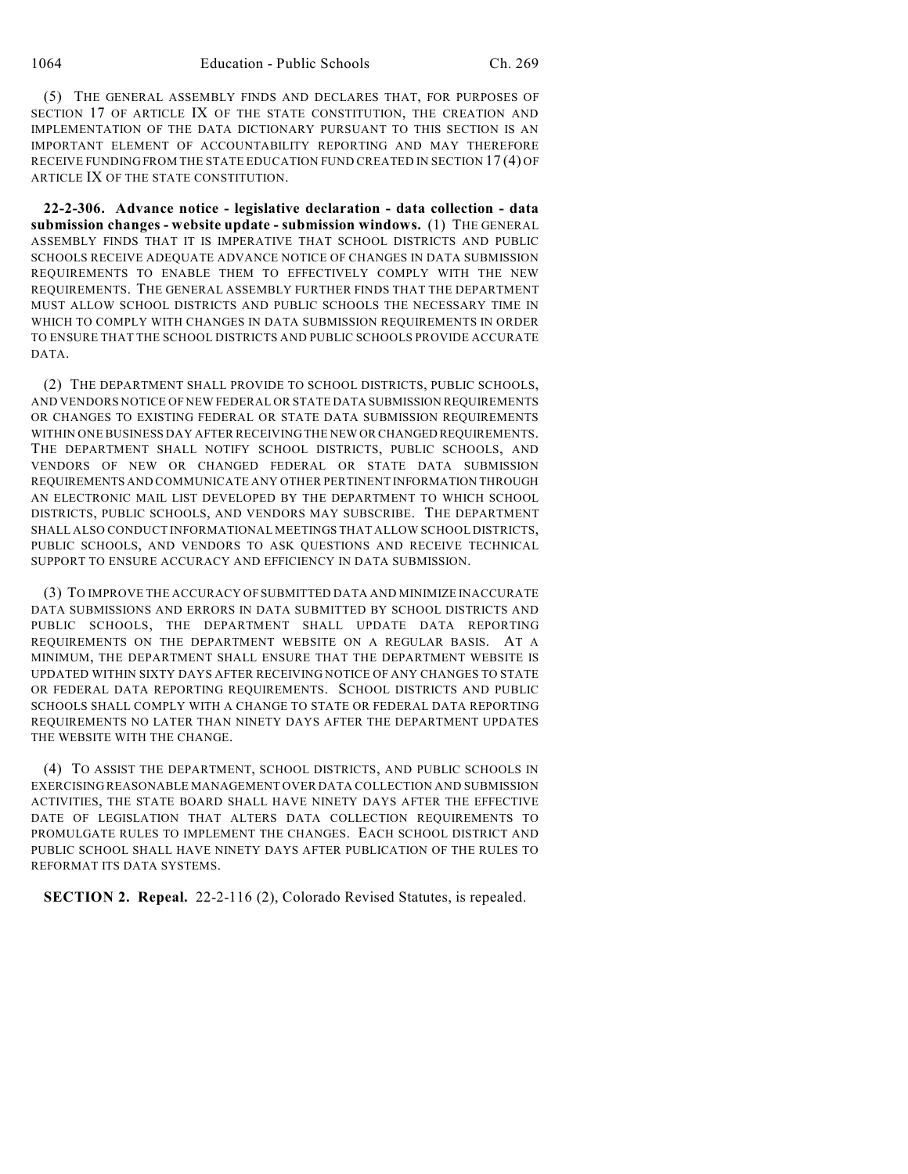(5) THE GENERAL ASSEMBLY FINDS AND DECLARES THAT, FOR PURPOSES OF SECTION 17 OF ARTICLE IX OF THE STATE CONSTITUTION, THE CREATION AND IMPLEMENTATION OF THE DATA DICTIONARY PURSUANT TO THIS SECTION IS AN IMPORTANT ELEMENT OF ACCOUNTABILITY REPORTING AND MAY THEREFORE RECEIVE FUNDING FROM THE STATE EDUCATION FUND CREATED IN SECTION 17 (4) OF ARTICLE IX OF THE STATE CONSTITUTION.

**22-2-306. Advance notice - legislative declaration - data collection - data submission changes - website update - submission windows.** (1) THE GENERAL ASSEMBLY FINDS THAT IT IS IMPERATIVE THAT SCHOOL DISTRICTS AND PUBLIC SCHOOLS RECEIVE ADEQUATE ADVANCE NOTICE OF CHANGES IN DATA SUBMISSION REQUIREMENTS TO ENABLE THEM TO EFFECTIVELY COMPLY WITH THE NEW REQUIREMENTS. THE GENERAL ASSEMBLY FURTHER FINDS THAT THE DEPARTMENT MUST ALLOW SCHOOL DISTRICTS AND PUBLIC SCHOOLS THE NECESSARY TIME IN WHICH TO COMPLY WITH CHANGES IN DATA SUBMISSION REQUIREMENTS IN ORDER TO ENSURE THAT THE SCHOOL DISTRICTS AND PUBLIC SCHOOLS PROVIDE ACCURATE DATA.

(2) THE DEPARTMENT SHALL PROVIDE TO SCHOOL DISTRICTS, PUBLIC SCHOOLS, AND VENDORS NOTICE OF NEW FEDERAL OR STATE DATA SUBMISSION REQUIREMENTS OR CHANGES TO EXISTING FEDERAL OR STATE DATA SUBMISSION REQUIREMENTS WITHIN ONE BUSINESS DAY AFTER RECEIVING THE NEW OR CHANGED REQUIREMENTS. THE DEPARTMENT SHALL NOTIFY SCHOOL DISTRICTS, PUBLIC SCHOOLS, AND VENDORS OF NEW OR CHANGED FEDERAL OR STATE DATA SUBMISSION REQUIREMENTS AND COMMUNICATE ANY OTHER PERTINENT INFORMATION THROUGH AN ELECTRONIC MAIL LIST DEVELOPED BY THE DEPARTMENT TO WHICH SCHOOL DISTRICTS, PUBLIC SCHOOLS, AND VENDORS MAY SUBSCRIBE. THE DEPARTMENT SHALL ALSO CONDUCT INFORMATIONAL MEETINGS THAT ALLOW SCHOOL DISTRICTS, PUBLIC SCHOOLS, AND VENDORS TO ASK QUESTIONS AND RECEIVE TECHNICAL SUPPORT TO ENSURE ACCURACY AND EFFICIENCY IN DATA SUBMISSION.

(3) TO IMPROVE THE ACCURACY OF SUBMITTED DATA AND MINIMIZE INACCURATE DATA SUBMISSIONS AND ERRORS IN DATA SUBMITTED BY SCHOOL DISTRICTS AND PUBLIC SCHOOLS, THE DEPARTMENT SHALL UPDATE DATA REPORTING REQUIREMENTS ON THE DEPARTMENT WEBSITE ON A REGULAR BASIS. AT A MINIMUM, THE DEPARTMENT SHALL ENSURE THAT THE DEPARTMENT WEBSITE IS UPDATED WITHIN SIXTY DAYS AFTER RECEIVING NOTICE OF ANY CHANGES TO STATE OR FEDERAL DATA REPORTING REQUIREMENTS. SCHOOL DISTRICTS AND PUBLIC SCHOOLS SHALL COMPLY WITH A CHANGE TO STATE OR FEDERAL DATA REPORTING REQUIREMENTS NO LATER THAN NINETY DAYS AFTER THE DEPARTMENT UPDATES THE WEBSITE WITH THE CHANGE.

(4) TO ASSIST THE DEPARTMENT, SCHOOL DISTRICTS, AND PUBLIC SCHOOLS IN EXERCISING REASONABLE MANAGEMENT OVER DATA COLLECTION AND SUBMISSION ACTIVITIES, THE STATE BOARD SHALL HAVE NINETY DAYS AFTER THE EFFECTIVE DATE OF LEGISLATION THAT ALTERS DATA COLLECTION REQUIREMENTS TO PROMULGATE RULES TO IMPLEMENT THE CHANGES. EACH SCHOOL DISTRICT AND PUBLIC SCHOOL SHALL HAVE NINETY DAYS AFTER PUBLICATION OF THE RULES TO REFORMAT ITS DATA SYSTEMS.

**SECTION 2. Repeal.** 22-2-116 (2), Colorado Revised Statutes, is repealed.